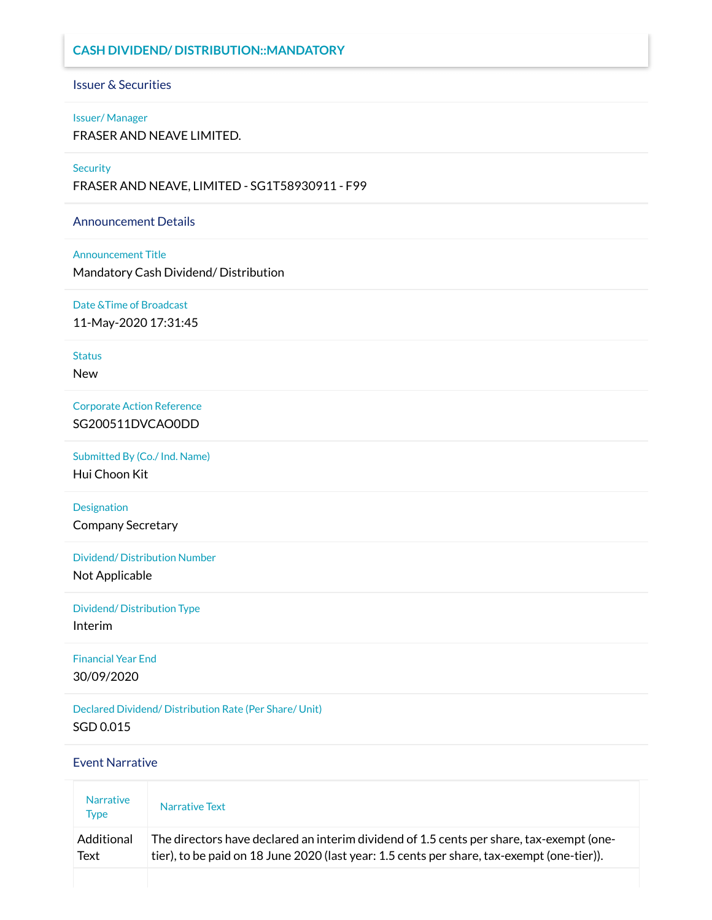# **CASH DIVIDEND/ DISTRIBUTION::MANDATORY**

# Issuer & Securities

#### Issuer/ Manager

FRASER AND NEAVE LIMITED.

#### **Security**

FRASER AND NEAVE, LIMITED - SG1T58930911 - F99

### Announcement Details

#### Announcement Title

Mandatory Cash Dividend/ Distribution

Date &Time of Broadcast 11-May-2020 17:31:45

**Status** 

New

Corporate Action Reference SG200511DVCAO0DD

Submitted By (Co./ Ind. Name) Hui Choon Kit

Designation Company Secretary

Dividend/ Distribution Number

Not Applicable

Dividend/ Distribution Type Interim

Financial Year End 30/09/2020

Declared Dividend/ Distribution Rate (Per Share/ Unit) SGD 0.015

## Event Narrative

| <b>Narrative</b><br><b>Type</b> | Narrative Text                                                                             |
|---------------------------------|--------------------------------------------------------------------------------------------|
| Additional                      | The directors have declared an interim dividend of 1.5 cents per share, tax-exempt (one-   |
| Text                            | tier), to be paid on 18 June 2020 (last year: 1.5 cents per share, tax-exempt (one-tier)). |